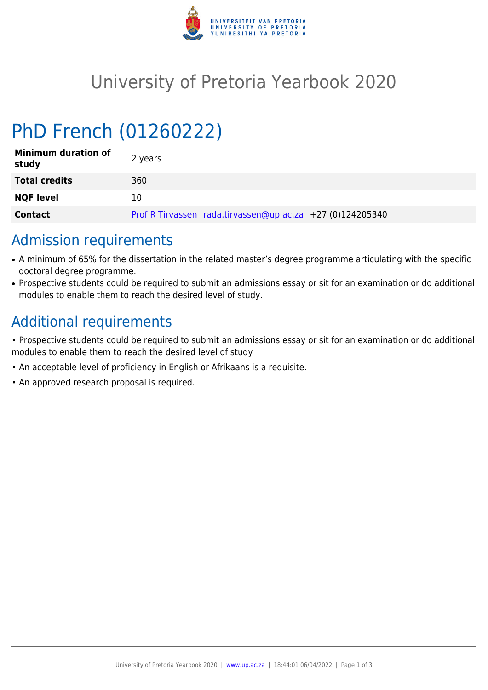

## University of Pretoria Yearbook 2020

# PhD French (01260222)

| <b>Minimum duration of</b><br>study | 2 years                                                   |
|-------------------------------------|-----------------------------------------------------------|
| <b>Total credits</b>                | 360                                                       |
| <b>NQF level</b>                    | 10                                                        |
| <b>Contact</b>                      | Prof R Tirvassen rada.tirvassen@up.ac.za +27 (0)124205340 |

#### Admission requirements

- A minimum of 65% for the dissertation in the related master's degree programme articulating with the specific doctoral degree programme.
- Prospective students could be required to submit an admissions essay or sit for an examination or do additional modules to enable them to reach the desired level of study.

## Additional requirements

- Prospective students could be required to submit an admissions essay or sit for an examination or do additional modules to enable them to reach the desired level of study
- An acceptable level of proficiency in English or Afrikaans is a requisite.
- An approved research proposal is required.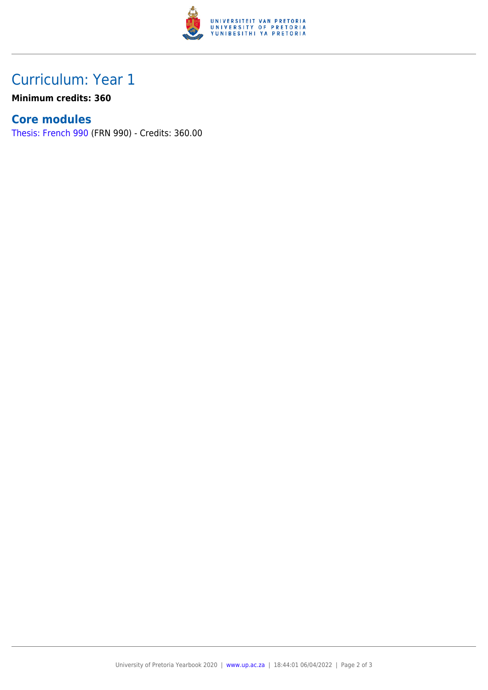

## Curriculum: Year 1

**Minimum credits: 360**

#### **Core modules**

[Thesis: French 990](https://www.up.ac.za/faculty-of-education/yearbooks/2020/modules/view/FRN 990) (FRN 990) - Credits: 360.00